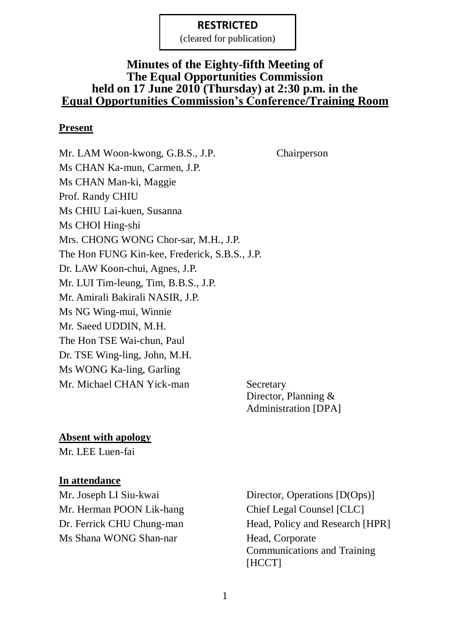(cleared for publication)

### **Minutes of the Eighty-fifth Meeting of The Equal Opportunities Commission held on 17 June 2010 (Thursday) at 2:30 p.m. in the Equal Opportunities Commission's Conference/Training Room**

#### **Present**

Mr. LAM Woon-kwong, G.B.S., J.P. Chairperson Ms CHAN Ka-mun, Carmen, J.P. Ms CHAN Man-ki, Maggie Prof. Randy CHIU Ms CHIU Lai-kuen, Susanna Ms CHOI Hing-shi Mrs. CHONG WONG Chor-sar, M.H., J.P. The Hon FUNG Kin-kee, Frederick, S.B.S., J.P. Dr. LAW Koon-chui, Agnes, J.P. Mr. LUI Tim-leung, Tim, B.B.S., J.P. Mr. Amirali Bakirali NASIR, J.P. Ms NG Wing-mui, Winnie Mr. Saeed UDDIN, M.H. The Hon TSE Wai-chun, Paul Dr. TSE Wing-ling, John, M.H. Ms WONG Ka-ling, Garling Mr. Michael CHAN Yick-man Secretary

Director, Planning & Administration [DPA]

#### **Absent with apology**

Mr. LEE Luen-fai

#### **In attendance**

Mr. Herman POON Lik-hang Chief Legal Counsel [CLC] Ms Shana WONG Shan-nar Head, Corporate

Mr. Joseph LI Siu-kwai Director, Operations [D(Ops)] Dr. Ferrick CHU Chung-man Head, Policy and Research [HPR] Communications and Training [HCCT]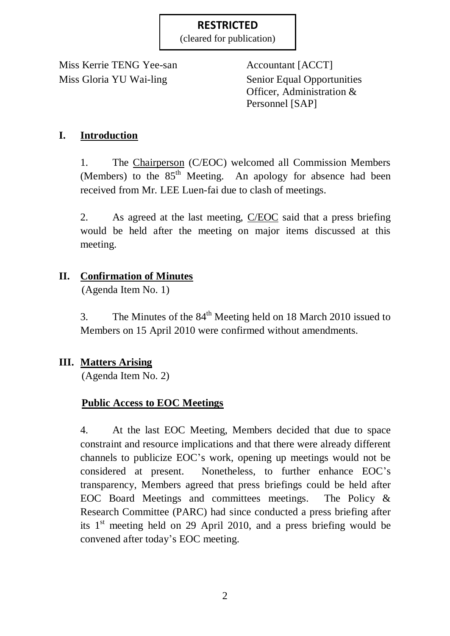(cleared for publication)

Miss Kerrie TENG Yee-san Accountant [ACCT] Miss Gloria YU Wai-ling Senior Equal Opportunities

Officer, Administration & Personnel [SAP]

## **I. Introduction**

1. The Chairperson (C/EOC) welcomed all Commission Members (Members) to the  $85<sup>th</sup>$  Meeting. An apology for absence had been received from Mr. LEE Luen-fai due to clash of meetings.

2. As agreed at the last meeting, C/EOC said that a press briefing would be held after the meeting on major items discussed at this meeting.

## **II. Confirmation of Minutes**

(Agenda Item No. 1)

3. The Minutes of the  $84<sup>th</sup>$  Meeting held on 18 March 2010 issued to Members on 15 April 2010 were confirmed without amendments.

## **III. Matters Arising**

(Agenda Item No. 2)

## **Public Access to EOC Meetings**

4. At the last EOC Meeting, Members decided that due to space constraint and resource implications and that there were already different channels to publicize EOC's work, opening up meetings would not be considered at present. Nonetheless, to further enhance EOC's transparency, Members agreed that press briefings could be held after EOC Board Meetings and committees meetings. The Policy & Research Committee (PARC) had since conducted a press briefing after its  $1<sup>st</sup>$  meeting held on 29 April 2010, and a press briefing would be convened after today's EOC meeting.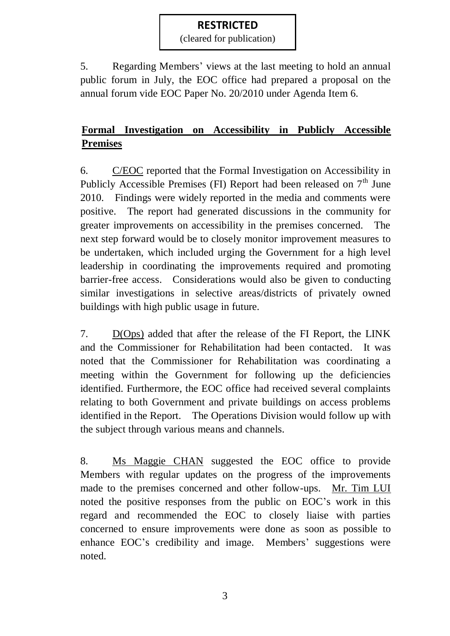(cleared for publication)

5. Regarding Members' views at the last meeting to hold an annual public forum in July, the EOC office had prepared a proposal on the annual forum vide EOC Paper No. 20/2010 under Agenda Item 6.

# **Formal Investigation on Accessibility in Publicly Accessible Premises**

6. C/EOC reported that the Formal Investigation on Accessibility in Publicly Accessible Premises (FI) Report had been released on  $7<sup>th</sup>$  June 2010. Findings were widely reported in the media and comments were positive. The report had generated discussions in the community for greater improvements on accessibility in the premises concerned. The next step forward would be to closely monitor improvement measures to be undertaken, which included urging the Government for a high level leadership in coordinating the improvements required and promoting barrier-free access. Considerations would also be given to conducting similar investigations in selective areas/districts of privately owned buildings with high public usage in future.

7. D(Ops) added that after the release of the FI Report, the LINK and the Commissioner for Rehabilitation had been contacted. It was noted that the Commissioner for Rehabilitation was coordinating a meeting within the Government for following up the deficiencies identified. Furthermore, the EOC office had received several complaints relating to both Government and private buildings on access problems identified in the Report. The Operations Division would follow up with the subject through various means and channels.

8. Ms Maggie CHAN suggested the EOC office to provide Members with regular updates on the progress of the improvements made to the premises concerned and other follow-ups. Mr. Tim LUI noted the positive responses from the public on EOC's work in this regard and recommended the EOC to closely liaise with parties concerned to ensure improvements were done as soon as possible to enhance EOC's credibility and image. Members' suggestions were noted.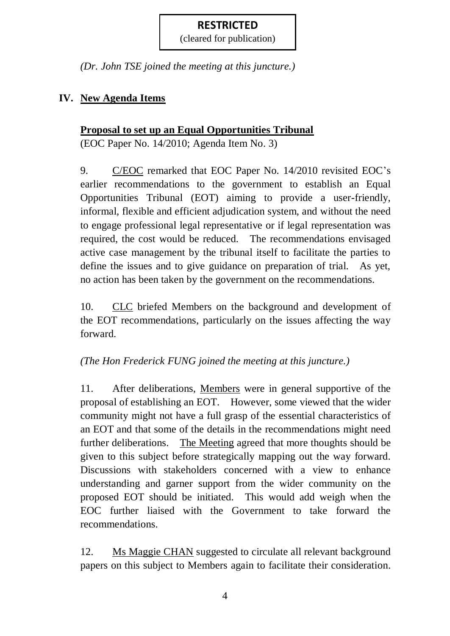(cleared for publication)

*(Dr. John TSE joined the meeting at this juncture.)*

## **IV. New Agenda Items**

## **Proposal to set up an Equal Opportunities Tribunal**

(EOC Paper No. 14/2010; Agenda Item No. 3)

9. C/EOC remarked that EOC Paper No. 14/2010 revisited EOC's earlier recommendations to the government to establish an Equal Opportunities Tribunal (EOT) aiming to provide a user-friendly, informal, flexible and efficient adjudication system, and without the need to engage professional legal representative or if legal representation was required, the cost would be reduced. The recommendations envisaged active case management by the tribunal itself to facilitate the parties to define the issues and to give guidance on preparation of trial. As yet, no action has been taken by the government on the recommendations.

10. CLC briefed Members on the background and development of the EOT recommendations, particularly on the issues affecting the way forward.

## *(The Hon Frederick FUNG joined the meeting at this juncture.)*

11. After deliberations, Members were in general supportive of the proposal of establishing an EOT. However, some viewed that the wider community might not have a full grasp of the essential characteristics of an EOT and that some of the details in the recommendations might need further deliberations. The Meeting agreed that more thoughts should be given to this subject before strategically mapping out the way forward. Discussions with stakeholders concerned with a view to enhance understanding and garner support from the wider community on the proposed EOT should be initiated. This would add weigh when the EOC further liaised with the Government to take forward the recommendations.

12. Ms Maggie CHAN suggested to circulate all relevant background papers on this subject to Members again to facilitate their consideration.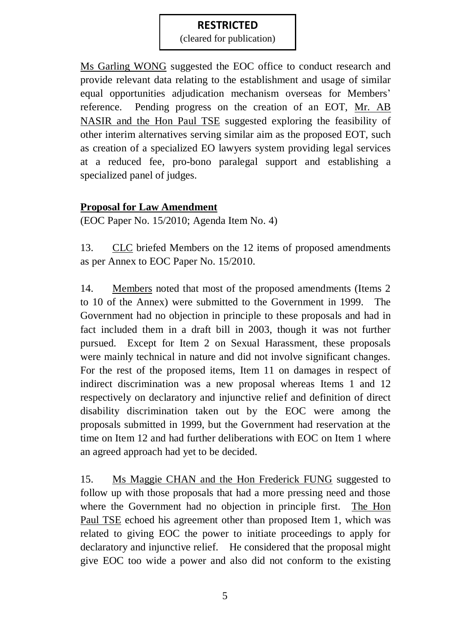(cleared for publication)

Ms Garling WONG suggested the EOC office to conduct research and provide relevant data relating to the establishment and usage of similar equal opportunities adjudication mechanism overseas for Members' reference. Pending progress on the creation of an EOT, Mr. AB NASIR and the Hon Paul TSE suggested exploring the feasibility of other interim alternatives serving similar aim as the proposed EOT, such as creation of a specialized EO lawyers system providing legal services at a reduced fee, pro-bono paralegal support and establishing a specialized panel of judges.

## **Proposal for Law Amendment**

(EOC Paper No. 15/2010; Agenda Item No. 4)

13. CLC briefed Members on the 12 items of proposed amendments as per Annex to EOC Paper No. 15/2010.

14. Members noted that most of the proposed amendments (Items 2 to 10 of the Annex) were submitted to the Government in 1999. The Government had no objection in principle to these proposals and had in fact included them in a draft bill in 2003, though it was not further pursued. Except for Item 2 on Sexual Harassment, these proposals were mainly technical in nature and did not involve significant changes. For the rest of the proposed items, Item 11 on damages in respect of indirect discrimination was a new proposal whereas Items 1 and 12 respectively on declaratory and injunctive relief and definition of direct disability discrimination taken out by the EOC were among the proposals submitted in 1999, but the Government had reservation at the time on Item 12 and had further deliberations with EOC on Item 1 where an agreed approach had yet to be decided.

15. Ms Maggie CHAN and the Hon Frederick FUNG suggested to follow up with those proposals that had a more pressing need and those where the Government had no objection in principle first. The Hon Paul TSE echoed his agreement other than proposed Item 1, which was related to giving EOC the power to initiate proceedings to apply for declaratory and injunctive relief. He considered that the proposal might give EOC too wide a power and also did not conform to the existing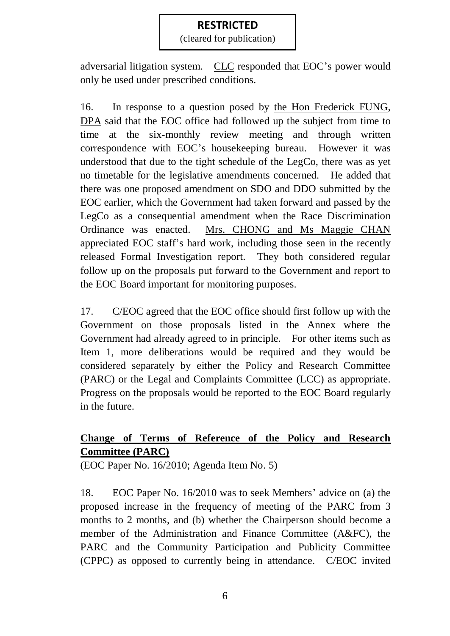(cleared for publication)

adversarial litigation system. CLC responded that EOC's power would only be used under prescribed conditions.

16. In response to a question posed by the Hon Frederick FUNG, DPA said that the EOC office had followed up the subject from time to time at the six-monthly review meeting and through written correspondence with EOC's housekeeping bureau. However it was understood that due to the tight schedule of the LegCo, there was as yet no timetable for the legislative amendments concerned. He added that there was one proposed amendment on SDO and DDO submitted by the EOC earlier, which the Government had taken forward and passed by the LegCo as a consequential amendment when the Race Discrimination Ordinance was enacted. Mrs. CHONG and Ms Maggie CHAN appreciated EOC staff's hard work, including those seen in the recently released Formal Investigation report. They both considered regular follow up on the proposals put forward to the Government and report to the EOC Board important for monitoring purposes.

17. C/EOC agreed that the EOC office should first follow up with the Government on those proposals listed in the Annex where the Government had already agreed to in principle. For other items such as Item 1, more deliberations would be required and they would be considered separately by either the Policy and Research Committee (PARC) or the Legal and Complaints Committee (LCC) as appropriate. Progress on the proposals would be reported to the EOC Board regularly in the future.

## **Change of Terms of Reference of the Policy and Research Committee (PARC)**

(EOC Paper No. 16/2010; Agenda Item No. 5)

18. EOC Paper No. 16/2010 was to seek Members' advice on (a) the proposed increase in the frequency of meeting of the PARC from 3 months to 2 months, and (b) whether the Chairperson should become a member of the Administration and Finance Committee (A&FC), the PARC and the Community Participation and Publicity Committee (CPPC) as opposed to currently being in attendance. C/EOC invited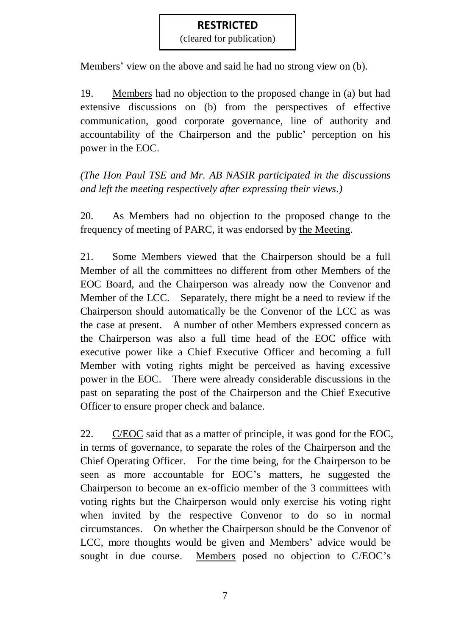(cleared for publication)

Members' view on the above and said he had no strong view on (b).

19. Members had no objection to the proposed change in (a) but had extensive discussions on (b) from the perspectives of effective communication, good corporate governance, line of authority and accountability of the Chairperson and the public' perception on his power in the EOC.

*(The Hon Paul TSE and Mr. AB NASIR participated in the discussions and left the meeting respectively after expressing their views.)*

20. As Members had no objection to the proposed change to the frequency of meeting of PARC, it was endorsed by the Meeting.

21. Some Members viewed that the Chairperson should be a full Member of all the committees no different from other Members of the EOC Board, and the Chairperson was already now the Convenor and Member of the LCC. Separately, there might be a need to review if the Chairperson should automatically be the Convenor of the LCC as was the case at present. A number of other Members expressed concern as the Chairperson was also a full time head of the EOC office with executive power like a Chief Executive Officer and becoming a full Member with voting rights might be perceived as having excessive power in the EOC. There were already considerable discussions in the past on separating the post of the Chairperson and the Chief Executive Officer to ensure proper check and balance.

22. C/EOC said that as a matter of principle, it was good for the EOC, in terms of governance, to separate the roles of the Chairperson and the Chief Operating Officer. For the time being, for the Chairperson to be seen as more accountable for EOC's matters, he suggested the Chairperson to become an ex-officio member of the 3 committees with voting rights but the Chairperson would only exercise his voting right when invited by the respective Convenor to do so in normal circumstances. On whether the Chairperson should be the Convenor of LCC, more thoughts would be given and Members' advice would be sought in due course. Members posed no objection to C/EOC's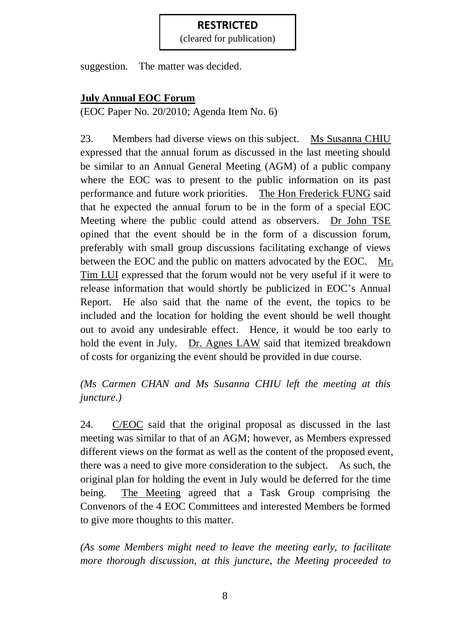(cleared for publication)

suggestion. The matter was decided.

## **July Annual EOC Forum**

(EOC Paper No. 20/2010; Agenda Item No. 6)

23. Members had diverse views on this subject. Ms Susanna CHIU expressed that the annual forum as discussed in the last meeting should be similar to an Annual General Meeting (AGM) of a public company where the EOC was to present to the public information on its past performance and future work priorities. The Hon Frederick FUNG said that he expected the annual forum to be in the form of a special EOC Meeting where the public could attend as observers. Dr John TSE opined that the event should be in the form of a discussion forum, preferably with small group discussions facilitating exchange of views between the EOC and the public on matters advocated by the EOC. Mr. Tim LUI expressed that the forum would not be very useful if it were to release information that would shortly be publicized in EOC's Annual Report. He also said that the name of the event, the topics to be included and the location for holding the event should be well thought out to avoid any undesirable effect. Hence, it would be too early to hold the event in July. Dr. Agnes LAW said that itemized breakdown of costs for organizing the event should be provided in due course.

## *(Ms Carmen CHAN and Ms Susanna CHIU left the meeting at this juncture.)*

24. C/EOC said that the original proposal as discussed in the last meeting was similar to that of an AGM; however, as Members expressed different views on the format as well as the content of the proposed event, there was a need to give more consideration to the subject. As such, the original plan for holding the event in July would be deferred for the time being. The Meeting agreed that a Task Group comprising the Convenors of the 4 EOC Committees and interested Members be formed to give more thoughts to this matter.

*(As some Members might need to leave the meeting early, to facilitate more thorough discussion, at this juncture, the Meeting proceeded to*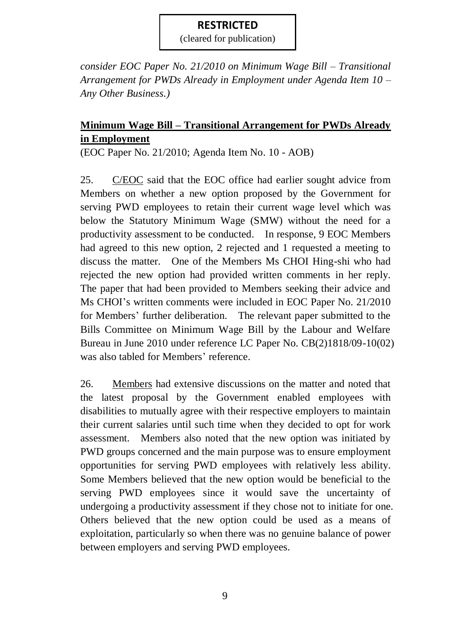(cleared for publication)

*consider EOC Paper No. 21/2010 on Minimum Wage Bill – Transitional Arrangement for PWDs Already in Employment under Agenda Item 10 – Any Other Business.)*

## **Minimum Wage Bill – Transitional Arrangement for PWDs Already in Employment**

(EOC Paper No. 21/2010; Agenda Item No. 10 - AOB)

25. C/EOC said that the EOC office had earlier sought advice from Members on whether a new option proposed by the Government for serving PWD employees to retain their current wage level which was below the Statutory Minimum Wage (SMW) without the need for a productivity assessment to be conducted. In response, 9 EOC Members had agreed to this new option, 2 rejected and 1 requested a meeting to discuss the matter. One of the Members Ms CHOI Hing-shi who had rejected the new option had provided written comments in her reply. The paper that had been provided to Members seeking their advice and Ms CHOI's written comments were included in EOC Paper No. 21/2010 for Members' further deliberation. The relevant paper submitted to the Bills Committee on Minimum Wage Bill by the Labour and Welfare Bureau in June 2010 under reference LC Paper No. CB(2)1818/09-10(02) was also tabled for Members' reference.

26. Members had extensive discussions on the matter and noted that the latest proposal by the Government enabled employees with disabilities to mutually agree with their respective employers to maintain their current salaries until such time when they decided to opt for work assessment. Members also noted that the new option was initiated by PWD groups concerned and the main purpose was to ensure employment opportunities for serving PWD employees with relatively less ability. Some Members believed that the new option would be beneficial to the serving PWD employees since it would save the uncertainty of undergoing a productivity assessment if they chose not to initiate for one. Others believed that the new option could be used as a means of exploitation, particularly so when there was no genuine balance of power between employers and serving PWD employees.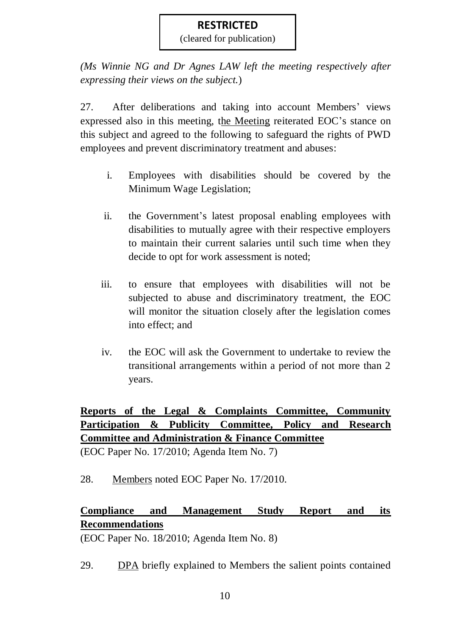(cleared for publication)

*(Ms Winnie NG and Dr Agnes LAW left the meeting respectively after expressing their views on the subject.*)

27. After deliberations and taking into account Members' views expressed also in this meeting, the Meeting reiterated EOC's stance on this subject and agreed to the following to safeguard the rights of PWD employees and prevent discriminatory treatment and abuses:

- i. Employees with disabilities should be covered by the Minimum Wage Legislation;
- ii. the Government's latest proposal enabling employees with disabilities to mutually agree with their respective employers to maintain their current salaries until such time when they decide to opt for work assessment is noted;
- iii. to ensure that employees with disabilities will not be subjected to abuse and discriminatory treatment, the EOC will monitor the situation closely after the legislation comes into effect; and
- iv. the EOC will ask the Government to undertake to review the transitional arrangements within a period of not more than 2 years.

**Reports of the Legal & Complaints Committee, Community Participation & Publicity Committee, Policy and Research Committee and Administration & Finance Committee** (EOC Paper No. 17/2010; Agenda Item No. 7)

28. Members noted EOC Paper No. 17/2010.

## **Compliance and Management Study Report and its Recommendations**

(EOC Paper No. 18/2010; Agenda Item No. 8)

29. DPA briefly explained to Members the salient points contained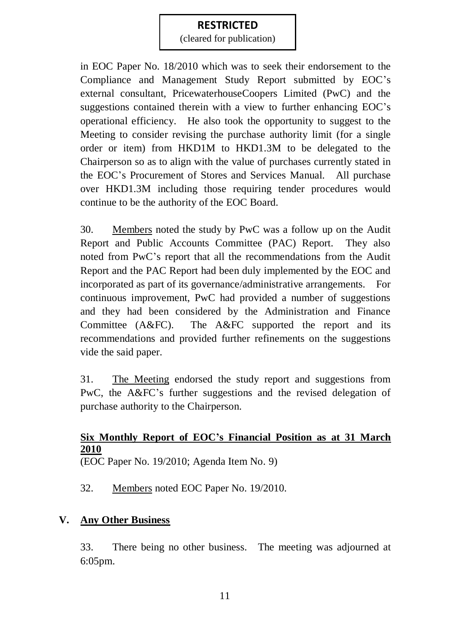(cleared for publication)

in EOC Paper No. 18/2010 which was to seek their endorsement to the Compliance and Management Study Report submitted by EOC's external consultant, PricewaterhouseCoopers Limited (PwC) and the suggestions contained therein with a view to further enhancing EOC's operational efficiency. He also took the opportunity to suggest to the Meeting to consider revising the purchase authority limit (for a single order or item) from HKD1M to HKD1.3M to be delegated to the Chairperson so as to align with the value of purchases currently stated in the EOC's Procurement of Stores and Services Manual. All purchase over HKD1.3M including those requiring tender procedures would continue to be the authority of the EOC Board.

30. Members noted the study by PwC was a follow up on the Audit Report and Public Accounts Committee (PAC) Report. They also noted from PwC's report that all the recommendations from the Audit Report and the PAC Report had been duly implemented by the EOC and incorporated as part of its governance/administrative arrangements. For continuous improvement, PwC had provided a number of suggestions and they had been considered by the Administration and Finance Committee (A&FC). The A&FC supported the report and its recommendations and provided further refinements on the suggestions vide the said paper.

31. The Meeting endorsed the study report and suggestions from PwC, the A&FC's further suggestions and the revised delegation of purchase authority to the Chairperson.

## **Six Monthly Report of EOC's Financial Position as at 31 March 2010**

(EOC Paper No. 19/2010; Agenda Item No. 9)

32. Members noted EOC Paper No. 19/2010.

## **V. Any Other Business**

33. There being no other business. The meeting was adjourned at 6:05pm.